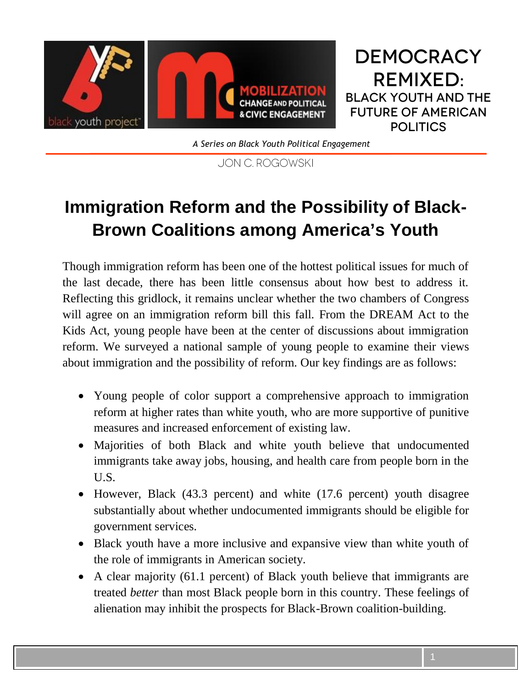

**DEMOCRACY REMIXED: BLACK YOUTH AND THE FUTURE OF AMERICAN POLITICS** 

*A Series on Black Youth Political Engagement*

JON C. ROGOWSKI

# **Immigration Reform and the Possibility of Black-Brown Coalitions among America's Youth**

Though immigration reform has been one of the hottest political issues for much of the last decade, there has been little consensus about how best to address it. Reflecting this gridlock, it remains unclear whether the two chambers of Congress will agree on an immigration reform bill this fall. From the DREAM Act to the Kids Act, young people have been at the center of discussions about immigration reform. We surveyed a national sample of young people to examine their views about immigration and the possibility of reform. Our key findings are as follows:

- Young people of color support a comprehensive approach to immigration reform at higher rates than white youth, who are more supportive of punitive measures and increased enforcement of existing law.
- Majorities of both Black and white youth believe that undocumented immigrants take away jobs, housing, and health care from people born in the U.S.
- However, Black (43.3 percent) and white (17.6 percent) youth disagree substantially about whether undocumented immigrants should be eligible for government services.
- Black youth have a more inclusive and expansive view than white youth of the role of immigrants in American society.
- A clear majority (61.1 percent) of Black youth believe that immigrants are treated *better* than most Black people born in this country. These feelings of alienation may inhibit the prospects for Black-Brown coalition-building.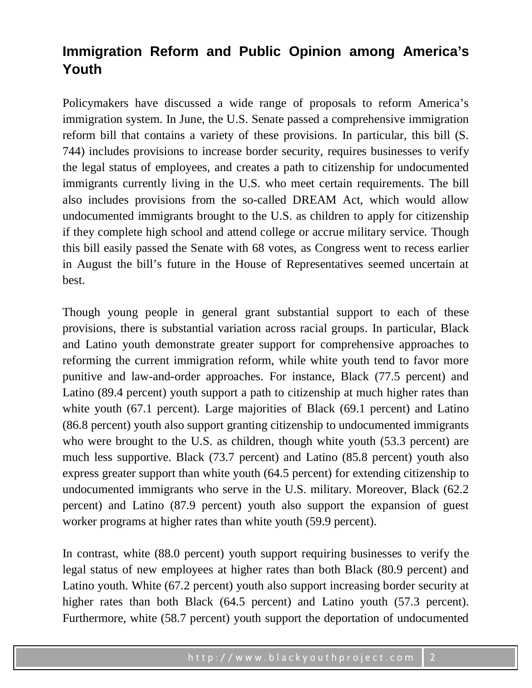# **Immigration Reform and Public Opinion among America's Youth**

Policymakers have discussed a wide range of proposals to reform America's immigration system. In June, the U.S. Senate passed a comprehensive immigration reform bill that contains a variety of these provisions. In particular, this bill (S. 744) includes provisions to increase border security, requires businesses to verify the legal status of employees, and creates a path to citizenship for undocumented immigrants currently living in the U.S. who meet certain requirements. The bill also includes provisions from the so-called DREAM Act, which would allow undocumented immigrants brought to the U.S. as children to apply for citizenship if they complete high school and attend college or accrue military service. Though this bill easily passed the Senate with 68 votes, as Congress went to recess earlier in August the bill's future in the House of Representatives seemed uncertain at best.

Though young people in general grant substantial support to each of these provisions, there is substantial variation across racial groups. In particular, Black and Latino youth demonstrate greater support for comprehensive approaches to reforming the current immigration reform, while white youth tend to favor more punitive and law-and-order approaches. For instance, Black (77.5 percent) and Latino (89.4 percent) youth support a path to citizenship at much higher rates than white youth (67.1 percent). Large majorities of Black (69.1 percent) and Latino (86.8 percent) youth also support granting citizenship to undocumented immigrants who were brought to the U.S. as children, though white youth (53.3 percent) are much less supportive. Black (73.7 percent) and Latino (85.8 percent) youth also express greater support than white youth (64.5 percent) for extending citizenship to undocumented immigrants who serve in the U.S. military. Moreover, Black (62.2 percent) and Latino (87.9 percent) youth also support the expansion of guest worker programs at higher rates than white youth (59.9 percent).

In contrast, white (88.0 percent) youth support requiring businesses to verify the legal status of new employees at higher rates than both Black (80.9 percent) and Latino youth. White (67.2 percent) youth also support increasing border security at higher rates than both Black (64.5 percent) and Latino youth (57.3 percent). Furthermore, white (58.7 percent) youth support the deportation of undocumented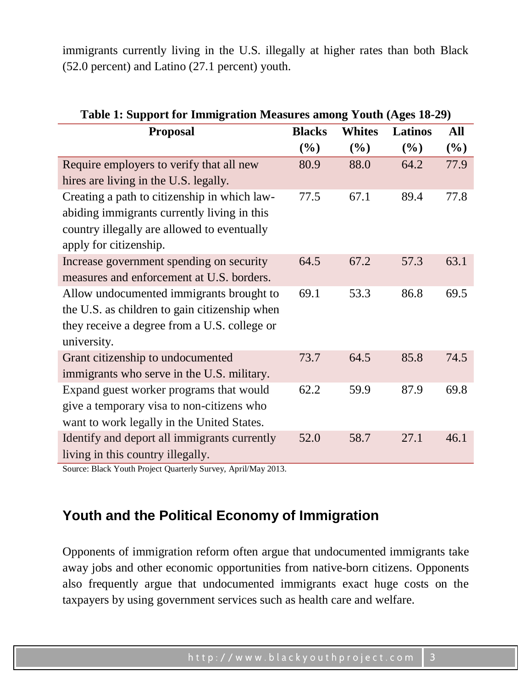immigrants currently living in the U.S. illegally at higher rates than both Black (52.0 percent) and Latino (27.1 percent) youth.

| Table 1: Support for Immigration Measures among Youth (Ages 18-29) |               |               |                |      |
|--------------------------------------------------------------------|---------------|---------------|----------------|------|
| <b>Proposal</b>                                                    | <b>Blacks</b> | <b>Whites</b> | <b>Latinos</b> | All  |
|                                                                    | (%)           | (%)           | (%)            | (%)  |
| Require employers to verify that all new                           | 80.9          | 88.0          | 64.2           | 77.9 |
| hires are living in the U.S. legally.                              |               |               |                |      |
| Creating a path to citizenship in which law-                       | 77.5          | 67.1          | 89.4           | 77.8 |
| abiding immigrants currently living in this                        |               |               |                |      |
| country illegally are allowed to eventually                        |               |               |                |      |
| apply for citizenship.                                             |               |               |                |      |
| Increase government spending on security                           | 64.5          | 67.2          | 57.3           | 63.1 |
| measures and enforcement at U.S. borders.                          |               |               |                |      |
| Allow undocumented immigrants brought to                           | 69.1          | 53.3          | 86.8           | 69.5 |
| the U.S. as children to gain citizenship when                      |               |               |                |      |
| they receive a degree from a U.S. college or                       |               |               |                |      |
| university.                                                        |               |               |                |      |
| Grant citizenship to undocumented                                  | 73.7          | 64.5          | 85.8           | 74.5 |
| immigrants who serve in the U.S. military.                         |               |               |                |      |
| Expand guest worker programs that would                            | 62.2          | 59.9          | 87.9           | 69.8 |
| give a temporary visa to non-citizens who                          |               |               |                |      |
| want to work legally in the United States.                         |               |               |                |      |
| Identify and deport all immigrants currently                       | 52.0          | 58.7          | 27.1           | 46.1 |
| living in this country illegally.                                  |               |               |                |      |
|                                                                    |               |               |                |      |

**Table 1: Support for Immigration Measures among Youth (Ages 18-29)**

Source: Black Youth Project Quarterly Survey, April/May 2013.

#### **Youth and the Political Economy of Immigration**

Opponents of immigration reform often argue that undocumented immigrants take away jobs and other economic opportunities from native-born citizens. Opponents also frequently argue that undocumented immigrants exact huge costs on the taxpayers by using government services such as health care and welfare.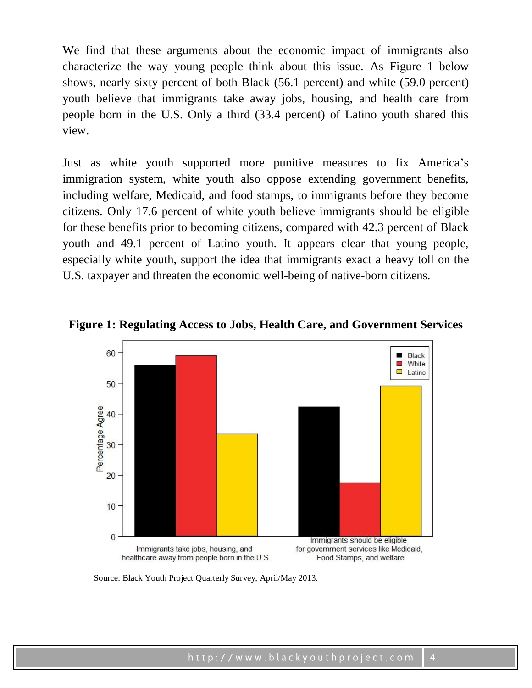We find that these arguments about the economic impact of immigrants also characterize the way young people think about this issue. As Figure 1 below shows, nearly sixty percent of both Black (56.1 percent) and white (59.0 percent) youth believe that immigrants take away jobs, housing, and health care from people born in the U.S. Only a third (33.4 percent) of Latino youth shared this view.

Just as white youth supported more punitive measures to fix America's immigration system, white youth also oppose extending government benefits, including welfare, Medicaid, and food stamps, to immigrants before they become citizens. Only 17.6 percent of white youth believe immigrants should be eligible for these benefits prior to becoming citizens, compared with 42.3 percent of Black youth and 49.1 percent of Latino youth. It appears clear that young people, especially white youth, support the idea that immigrants exact a heavy toll on the U.S. taxpayer and threaten the economic well-being of native-born citizens.





Source: Black Youth Project Quarterly Survey, April/May 2013.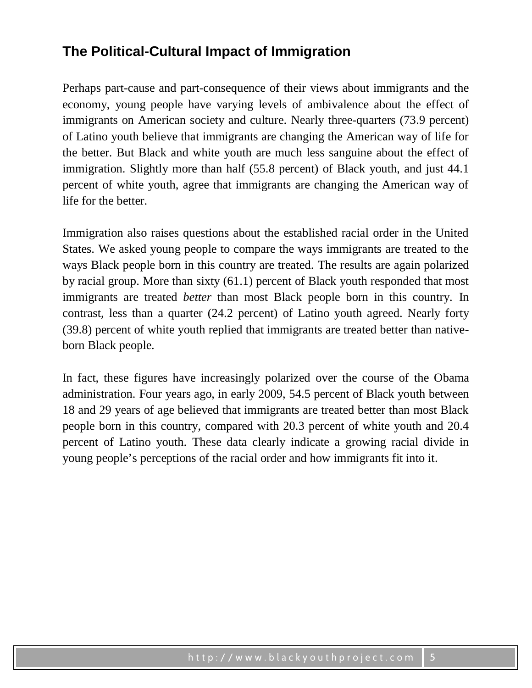### **The Political-Cultural Impact of Immigration**

Perhaps part-cause and part-consequence of their views about immigrants and the economy, young people have varying levels of ambivalence about the effect of immigrants on American society and culture. Nearly three-quarters (73.9 percent) of Latino youth believe that immigrants are changing the American way of life for the better. But Black and white youth are much less sanguine about the effect of immigration. Slightly more than half (55.8 percent) of Black youth, and just 44.1 percent of white youth, agree that immigrants are changing the American way of life for the better.

Immigration also raises questions about the established racial order in the United States. We asked young people to compare the ways immigrants are treated to the ways Black people born in this country are treated. The results are again polarized by racial group. More than sixty (61.1) percent of Black youth responded that most immigrants are treated *better* than most Black people born in this country. In contrast, less than a quarter (24.2 percent) of Latino youth agreed. Nearly forty (39.8) percent of white youth replied that immigrants are treated better than nativeborn Black people.

In fact, these figures have increasingly polarized over the course of the Obama administration. Four years ago, in early 2009, 54.5 percent of Black youth between 18 and 29 years of age believed that immigrants are treated better than most Black people born in this country, compared with 20.3 percent of white youth and 20.4 percent of Latino youth. These data clearly indicate a growing racial divide in young people's perceptions of the racial order and how immigrants fit into it.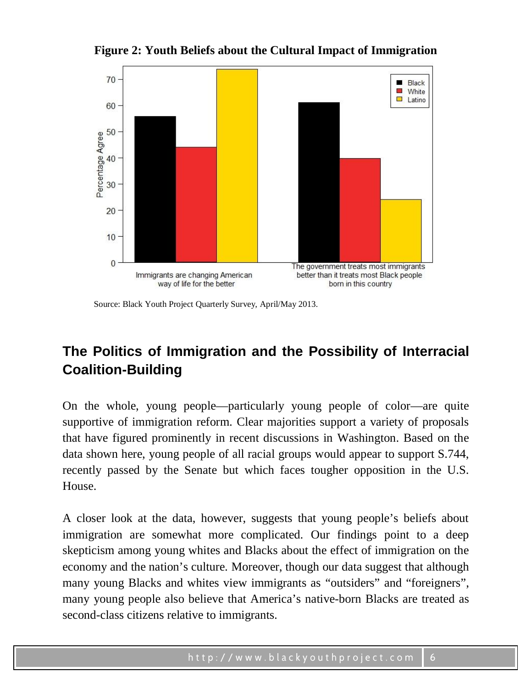**Figure 2: Youth Beliefs about the Cultural Impact of Immigration**



Source: Black Youth Project Quarterly Survey, April/May 2013.

## **The Politics of Immigration and the Possibility of Interracial Coalition-Building**

On the whole, young people—particularly young people of color—are quite supportive of immigration reform. Clear majorities support a variety of proposals that have figured prominently in recent discussions in Washington. Based on the data shown here, young people of all racial groups would appear to support S.744, recently passed by the Senate but which faces tougher opposition in the U.S. House.

A closer look at the data, however, suggests that young people's beliefs about immigration are somewhat more complicated. Our findings point to a deep skepticism among young whites and Blacks about the effect of immigration on the economy and the nation's culture. Moreover, though our data suggest that although many young Blacks and whites view immigrants as "outsiders" and "foreigners", many young people also believe that America's native-born Blacks are treated as second-class citizens relative to immigrants.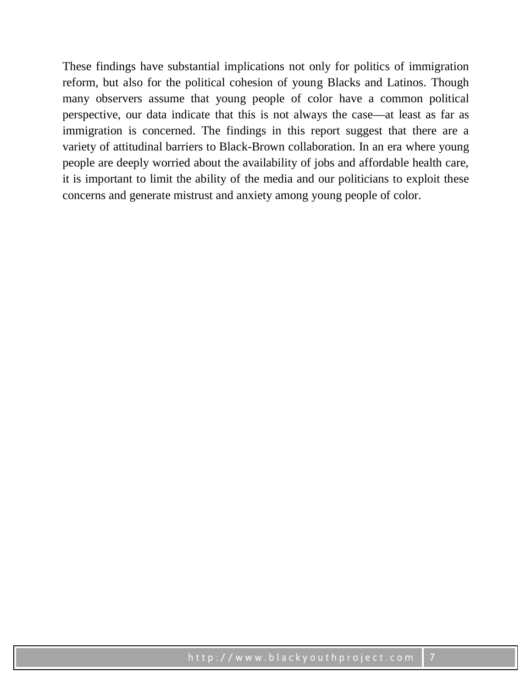These findings have substantial implications not only for politics of immigration reform, but also for the political cohesion of young Blacks and Latinos. Though many observers assume that young people of color have a common political perspective, our data indicate that this is not always the case—at least as far as immigration is concerned. The findings in this report suggest that there are a variety of attitudinal barriers to Black-Brown collaboration. In an era where young people are deeply worried about the availability of jobs and affordable health care, it is important to limit the ability of the media and our politicians to exploit these concerns and generate mistrust and anxiety among young people of color.